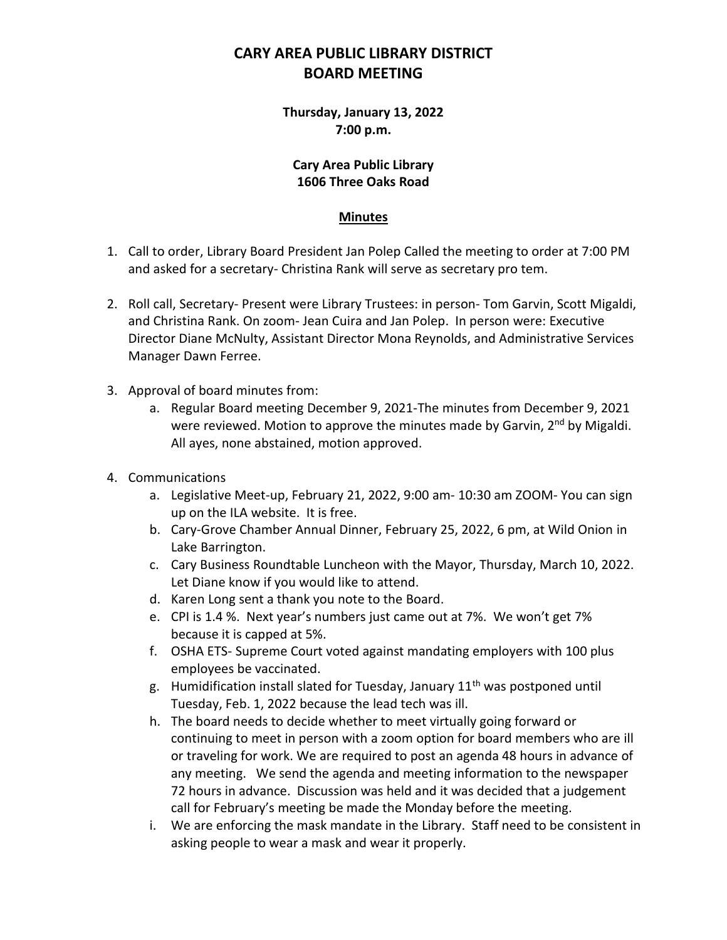# **CARY AREA PUBLIC LIBRARY DISTRICT BOARD MEETING**

**Thursday, January 13, 2022 7:00 p.m.**

#### **Cary Area Public Library 1606 Three Oaks Road**

#### **Minutes**

- 1. Call to order, Library Board President Jan Polep Called the meeting to order at 7:00 PM and asked for a secretary- Christina Rank will serve as secretary pro tem.
- 2. Roll call, Secretary- Present were Library Trustees: in person- Tom Garvin, Scott Migaldi, and Christina Rank. On zoom- Jean Cuira and Jan Polep. In person were: Executive Director Diane McNulty, Assistant Director Mona Reynolds, and Administrative Services Manager Dawn Ferree.
- 3. Approval of board minutes from:
	- a. Regular Board meeting December 9, 2021-The minutes from December 9, 2021 were reviewed. Motion to approve the minutes made by Garvin, 2<sup>nd</sup> by Migaldi. All ayes, none abstained, motion approved.
- 4. Communications
	- a. Legislative Meet-up, February 21, 2022, 9:00 am- 10:30 am ZOOM- You can sign up on the ILA website. It is free.
	- b. Cary-Grove Chamber Annual Dinner, February 25, 2022, 6 pm, at Wild Onion in Lake Barrington.
	- c. Cary Business Roundtable Luncheon with the Mayor, Thursday, March 10, 2022. Let Diane know if you would like to attend.
	- d. Karen Long sent a thank you note to the Board.
	- e. CPI is 1.4 %. Next year's numbers just came out at 7%. We won't get 7% because it is capped at 5%.
	- f. OSHA ETS- Supreme Court voted against mandating employers with 100 plus employees be vaccinated.
	- g. Humidification install slated for Tuesday, January  $11<sup>th</sup>$  was postponed until Tuesday, Feb. 1, 2022 because the lead tech was ill.
	- h. The board needs to decide whether to meet virtually going forward or continuing to meet in person with a zoom option for board members who are ill or traveling for work. We are required to post an agenda 48 hours in advance of any meeting. We send the agenda and meeting information to the newspaper 72 hours in advance. Discussion was held and it was decided that a judgement call for February's meeting be made the Monday before the meeting.
	- i. We are enforcing the mask mandate in the Library. Staff need to be consistent in asking people to wear a mask and wear it properly.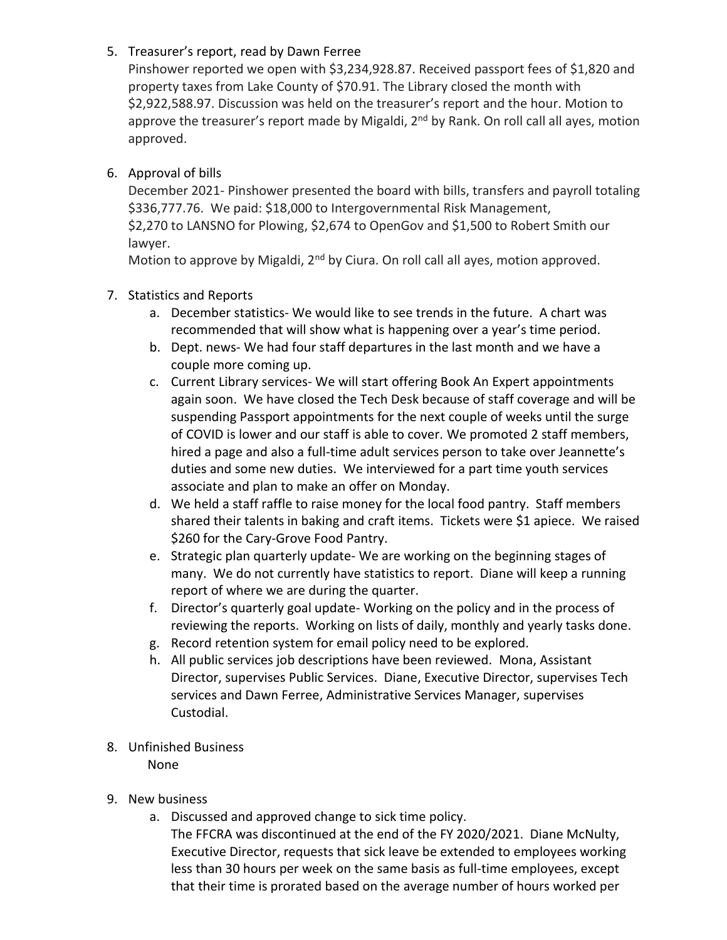### 5. Treasurer's report, read by Dawn Ferree

Pinshower reported we open with \$3,234,928.87. Received passport fees of \$1,820 and property taxes from Lake County of \$70.91. The Library closed the month with \$2,922,588.97. Discussion was held on the treasurer's report and the hour. Motion to approve the treasurer's report made by Migaldi,  $2<sup>nd</sup>$  by Rank. On roll call all ayes, motion approved.

## 6. Approval of bills

December 2021- Pinshower presented the board with bills, transfers and payroll totaling \$336,777.76. We paid: \$18,000 to Intergovernmental Risk Management, \$2,270 to LANSNO for Plowing, \$2,674 to OpenGov and \$1,500 to Robert Smith our lawyer.

Motion to approve by Migaldi, 2<sup>nd</sup> by Ciura. On roll call all ayes, motion approved.

### 7. Statistics and Reports

- a. December statistics- We would like to see trends in the future. A chart was recommended that will show what is happening over a year's time period.
- b. Dept. news- We had four staff departures in the last month and we have a couple more coming up.
- c. Current Library services- We will start offering Book An Expert appointments again soon. We have closed the Tech Desk because of staff coverage and will be suspending Passport appointments for the next couple of weeks until the surge of COVID is lower and our staff is able to cover. We promoted 2 staff members, hired a page and also a full-time adult services person to take over Jeannette's duties and some new duties. We interviewed for a part time youth services associate and plan to make an offer on Monday.
- d. We held a staff raffle to raise money for the local food pantry. Staff members shared their talents in baking and craft items. Tickets were \$1 apiece. We raised \$260 for the Cary-Grove Food Pantry.
- e. Strategic plan quarterly update- We are working on the beginning stages of many. We do not currently have statistics to report. Diane will keep a running report of where we are during the quarter.
- f. Director's quarterly goal update- Working on the policy and in the process of reviewing the reports. Working on lists of daily, monthly and yearly tasks done.
- g. Record retention system for email policy need to be explored.
- h. All public services job descriptions have been reviewed. Mona, Assistant Director, supervises Public Services. Diane, Executive Director, supervises Tech services and Dawn Ferree, Administrative Services Manager, supervises Custodial.
- 8. Unfinished Business

None

- 9. New business
	- a. Discussed and approved change to sick time policy.
		- The FFCRA was discontinued at the end of the FY 2020/2021. Diane McNulty, Executive Director, requests that sick leave be extended to employees working less than 30 hours per week on the same basis as full-time employees, except that their time is prorated based on the average number of hours worked per